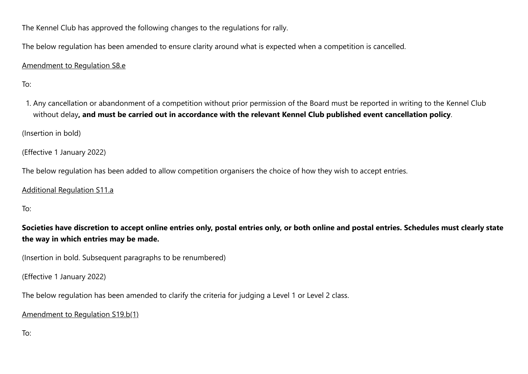The Kennel Club has approved the following changes to the regulations for rally.

The below regulation has been amended to ensure clarity around what is expected when a competition is cancelled.

## Amendment to Regulation S8.e

To:

1. Any cancellation or abandonment of a competition without prior permission of the Board must be reported in writing to the Kennel Club without delay**, and must be carried out in accordance with the relevant Kennel Club published event cancellation policy**.

(Insertion in bold)

(Effective 1 January 2022)

The below regulation has been added to allow competition organisers the choice of how they wish to accept entries.

Additional Regulation S11.a

To:

**Societies have discretion to accept online entries only, postal entries only, or both online and postal entries. Schedules must clearly state the way in which entries may be made.**

(Insertion in bold. Subsequent paragraphs to be renumbered)

(Effective 1 January 2022)

The below regulation has been amended to clarify the criteria for judging a Level 1 or Level 2 class.

Amendment to Regulation S19.b(1)

To: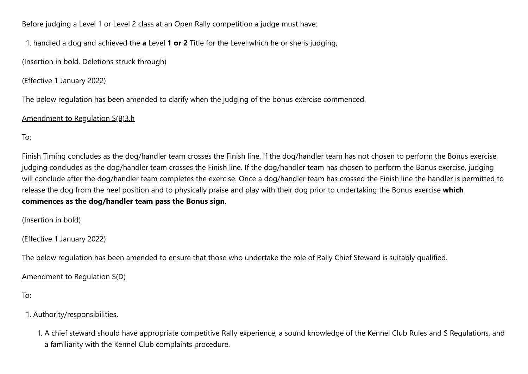Before judging a Level 1 or Level 2 class at an Open Rally competition a judge must have:

1. handled a dog and achieved the **a** Level **1 or 2** Title for the Level which he or she is judging,

(Insertion in bold. Deletions struck through)

(Effective 1 January 2022)

The below regulation has been amended to clarify when the judging of the bonus exercise commenced.

## Amendment to Regulation S(B)3.h

To:

Finish Timing concludes as the dog/handler team crosses the Finish line. If the dog/handler team has not chosen to perform the Bonus exercise, judging concludes as the dog/handler team crosses the Finish line. If the dog/handler team has chosen to perform the Bonus exercise, judging will conclude after the dog/handler team completes the exercise. Once a dog/handler team has crossed the Finish line the handler is permitted to release the dog from the heel position and to physically praise and play with their dog prior to undertaking the Bonus exercise **which commences as the dog/handler team pass the Bonus sign**.

(Insertion in bold)

(Effective 1 January 2022)

The below regulation has been amended to ensure that those who undertake the role of Rally Chief Steward is suitably qualified.

Amendment to Regulation S(D)

To:

1. Authority/responsibilities**.**

1. A chief steward should have appropriate competitive Rally experience, a sound knowledge of the Kennel Club Rules and S Regulations, and a familiarity with the Kennel Club complaints procedure.